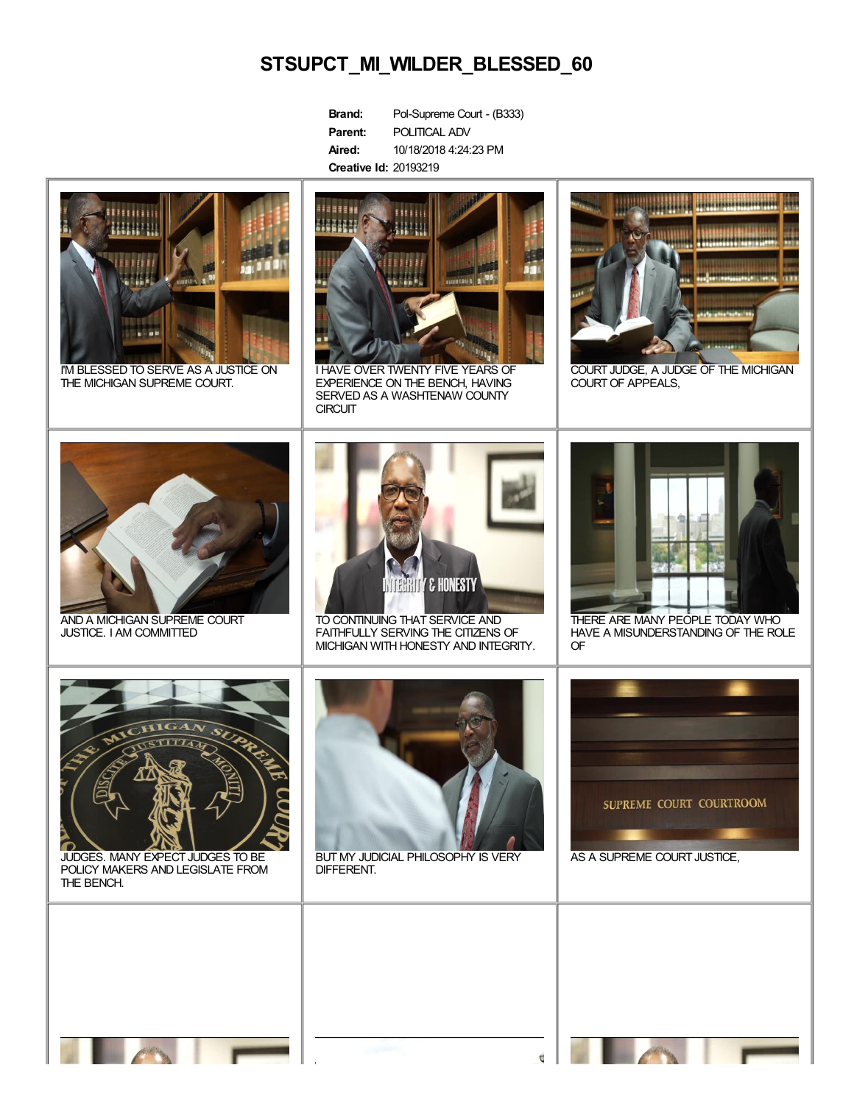## **STSUPCT\_MI\_WILDER\_BLESSED\_60**

| Brand:                       | Pol-Supreme Court - (B333) |
|------------------------------|----------------------------|
| Parent:                      | POLITICAL ADV              |
| Aired:                       | 10/18/2018 4:24:23 PM      |
| <b>Creative Id: 20193219</b> |                            |



I'M BLESSED TO SERVE AS A JUSTICE ON THE MICHIGAN SUPREME COURT.



I HAVE OVER TWENTY FIVE YEARS OF EXPERIENCE ON THE BENCH, HAVING SERVED AS A WASHTENAW COUNTY **CIRCUIT** 



COURT JUDGE, A JUDGE OF THE MICHIGAN COURT OF APPEALS,



AND A MICHIGAN SUPREME COURT JUSTICE. I AM COMMITTED



TO CONTINUING THAT SERVICE AND FAITHFULLY SERVING THE CITIZENS OF MICHIGAN WITH HONESTY AND INTEGRITY.



THERE ARE MANY PEOPLE TODAY WHO HAVE A MISUNDERSTANDING OF THE ROLE OF



JUDGES. MANY EXPECT JUDGES TO BE POLICY MAKERS AND LEGISLATE FROM THE BENCH.



BUTMY JUDICIAL PHILOSOPHY IS VERY DIFFERENT.



AS A SUPREME COURT JUSTICE,

 $\overline{\mathbb{C}}$